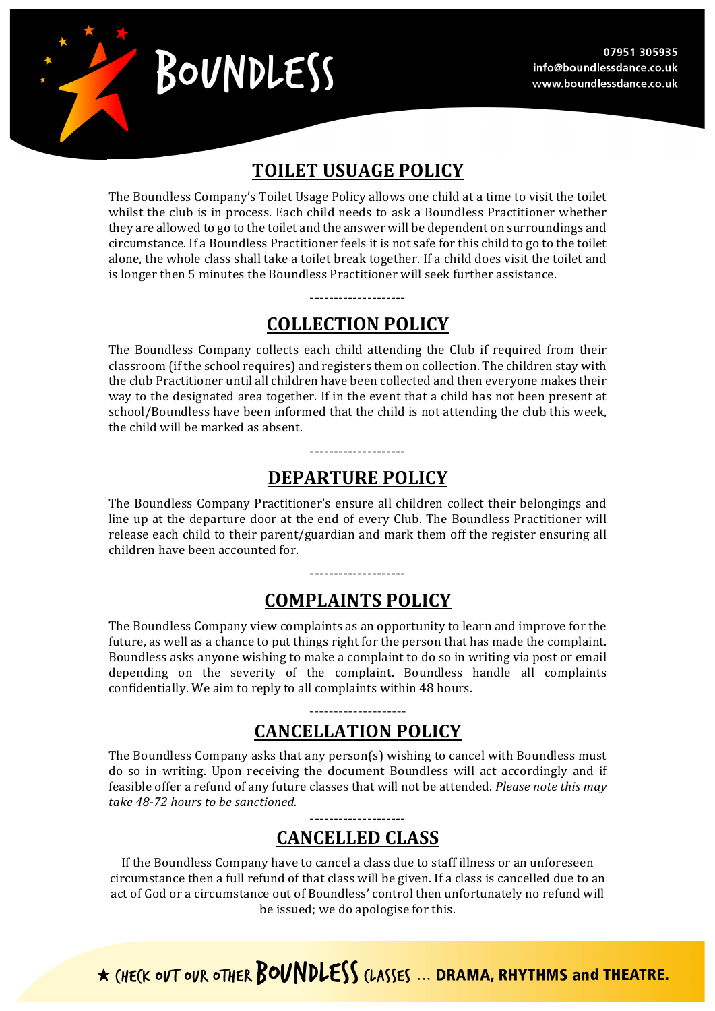

# BOUNDLESS

## **TOILET USUAGE POLICY**

The Boundless Company's Toilet Usage Policy allows one child at a time to visit the toilet whilst the club is in process. Each child needs to ask a Boundless Practitioner whether they are allowed to go to the toilet and the answer will be dependent on surroundings and circumstance. If a Boundless Practitioner feels it is not safe for this child to go to the toilet alone, the whole class shall take a toilet break together. If a child does visit the toilet and is longer then 5 minutes the Boundless Practitioner will seek further assistance.

## **COLLECTION POLICY**

--------------------

The Boundless Company collects each child attending the Club if required from their classroom (if the school requires) and registers them on collection. The children stay with the club Practitioner until all children have been collected and then everyone makes their way to the designated area together. If in the event that a child has not been present at school/Boundless have been informed that the child is not attending the club this week, the child will be marked as absent.

# **DEPARTURE POLICY**

--------------------

The Boundless Company Practitioner's ensure all children collect their belongings and line up at the departure door at the end of every Club. The Boundless Practitioner will release each child to their parent/guardian and mark them off the register ensuring all children have been accounted for.

## **COMPLAINTS POLICY**

--------------------

The Boundless Company view complaints as an opportunity to learn and improve for the future, as well as a chance to put things right for the person that has made the complaint. Boundless asks anyone wishing to make a complaint to do so in writing via post or email depending on the severity of the complaint. Boundless handle all complaints confidentially. We aim to reply to all complaints within 48 hours.

## **-------------------- CANCELLATION POLICY**

The Boundless Company asks that any person(s) wishing to cancel with Boundless must do so in writing. Upon receiving the document Boundless will act accordingly and if feasible offer a refund of any future classes that will not be attended. *Please note this may take 48-72 hours to be sanctioned.*

## -------------------- **CANCELLED CLASS**

If the Boundless Company have to cancel a class due to staff illness or an unforeseen circumstance then a full refund of that class will be given. If a class is cancelled due to an act of God or a circumstance out of Boundless' control then unfortunately no refund will be issued; we do apologise for this.

\* (HECK OUT OUR OTHER BOUNDLESS (LASSES ... DRAMA, RHYTHMS and THEATRE.